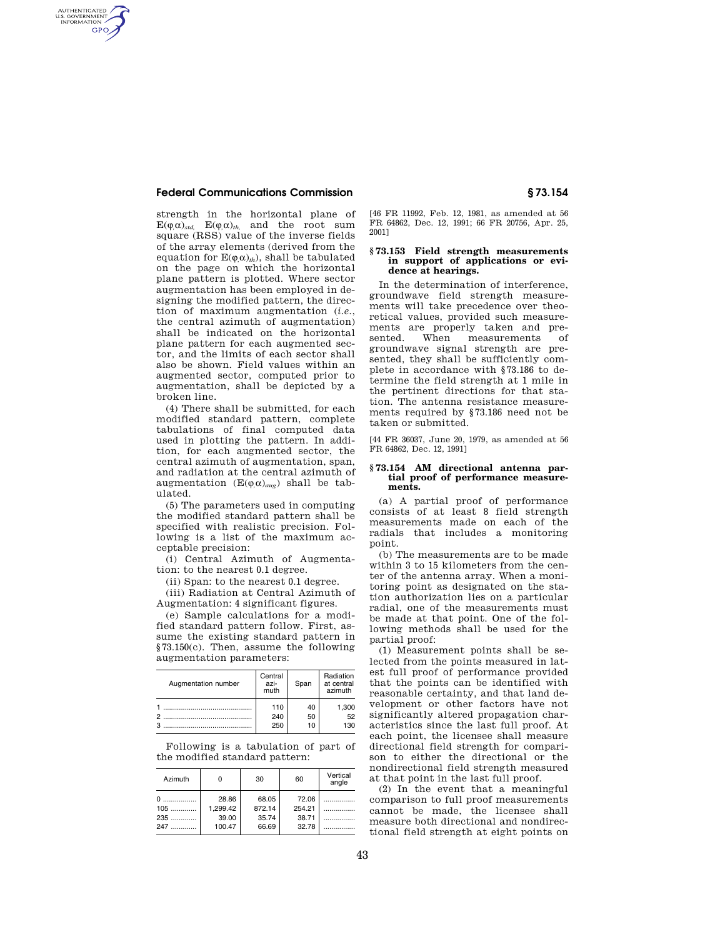# **Federal Communications Commission § 73.154**

AUTHENTICATED<br>U.S. GOVERNMENT<br>INFORMATION **GPO** 

> strength in the horizontal plane of  $E(\varphi,\alpha)$ <sub>*std*,</sub>  $E(\varphi,\alpha)$ <sub>*th*</sub>, and the root sum square (RSS) value of the inverse fields of the array elements (derived from the equation for  $E(\varphi,\alpha)_{th}$ , shall be tabulated on the page on which the horizontal plane pattern is plotted. Where sector augmentation has been employed in designing the modified pattern, the direction of maximum augmentation (*i.e.*, the central azimuth of augmentation) shall be indicated on the horizontal plane pattern for each augmented sector, and the limits of each sector shall also be shown. Field values within an augmented sector, computed prior to augmentation, shall be depicted by a broken line.

> (4) There shall be submitted, for each modified standard pattern, complete tabulations of final computed data used in plotting the pattern. In addition, for each augmented sector, the central azimuth of augmentation, span, and radiation at the central azimuth of augmentation  $(E(\varphi,\alpha)_{aug})$  shall be tabulated.

> (5) The parameters used in computing the modified standard pattern shall be specified with realistic precision. Following is a list of the maximum acceptable precision:

> (i) Central Azimuth of Augmentation: to the nearest 0.1 degree.

(ii) Span: to the nearest 0.1 degree.

(iii) Radiation at Central Azimuth of Augmentation: 4 significant figures.

(e) Sample calculations for a modified standard pattern follow. First, assume the existing standard pattern in §73.150(c). Then, assume the following augmentation parameters:

| Augmentation number | Central<br>azi-<br>muth | Span | Radiation<br>at central<br>azimuth |
|---------------------|-------------------------|------|------------------------------------|
|                     | 110                     | 40   | 1.300                              |
|                     | 240                     | 50   | 52                                 |
|                     | 250                     | 10   | 130                                |

Following is a tabulation of part of the modified standard pattern:

| Azimuth | o        | 30     | 60     | Vertical<br>angle |
|---------|----------|--------|--------|-------------------|
|         | 28.86    | 68.05  | 72.06  |                   |
| $105$   | 1,299.42 | 872.14 | 254.21 |                   |
| $235$   | 39.00    | 35.74  | 38.71  |                   |
| 247     | 100.47   | 66.69  | 32.78  |                   |

[46 FR 11992, Feb. 12, 1981, as amended at 56 FR 64862, Dec. 12, 1991; 66 FR 20756, Apr. 25, 2001]

#### **§ 73.153 Field strength measurements in support of applications or evidence at hearings.**

In the determination of interference, groundwave field strength measurements will take precedence over theoretical values, provided such measurements are properly taken and pre-<br>sented. When measurements of sented. When measurements of groundwave signal strength are presented, they shall be sufficiently complete in accordance with §73.186 to determine the field strength at 1 mile in the pertinent directions for that station. The antenna resistance measurements required by §73.186 need not be taken or submitted.

[44 FR 36037, June 20, 1979, as amended at 56 FR 64862, Dec. 12, 1991]

#### **§ 73.154 AM directional antenna partial proof of performance measurements.**

(a) A partial proof of performance consists of at least 8 field strength measurements made on each of the radials that includes a monitoring point.

(b) The measurements are to be made within 3 to 15 kilometers from the center of the antenna array. When a monitoring point as designated on the station authorization lies on a particular radial, one of the measurements must be made at that point. One of the following methods shall be used for the partial proof:

(1) Measurement points shall be selected from the points measured in latest full proof of performance provided that the points can be identified with reasonable certainty, and that land development or other factors have not significantly altered propagation characteristics since the last full proof. At each point, the licensee shall measure directional field strength for comparison to either the directional or the nondirectional field strength measured at that point in the last full proof.

(2) In the event that a meaningful comparison to full proof measurements cannot be made, the licensee shall measure both directional and nondirectional field strength at eight points on